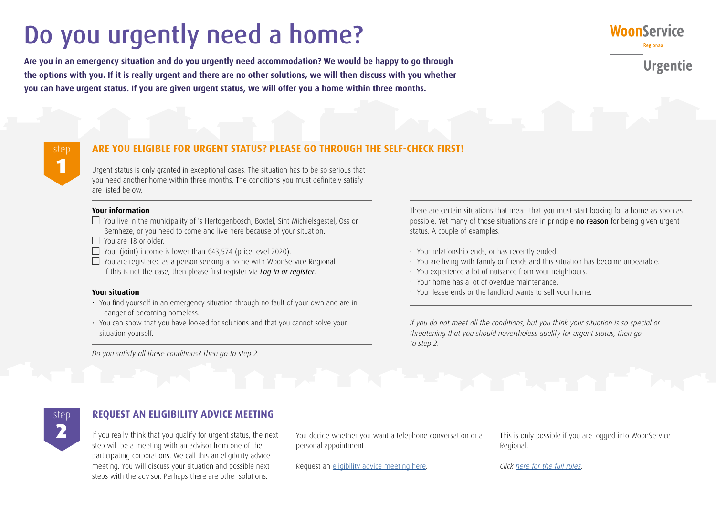# Do you urgently need a home?

**Are you in an emergency situation and do you urgently need accommodation? We would be happy to go through the options with you. If it is really urgent and there are no other solutions, we will then discuss with you whether you can have urgent status. If you are given urgent status, we will offer you a home within three months.**



**Urgentie** 

# step 1

# **ARE YOU ELIGIBLE FOR URGENT STATUS? PLEASE GO THROUGH THE SELF-CHECK FIRST!**

Urgent status is only granted in exceptional cases. The situation has to be so serious that you need another home within three months. The conditions you must definitely satisfy are listed below.

#### **Your information**

- $\Box$  You live in the municipality of 's-Hertogenbosch, Boxtel, Sint-Michielsgestel, Oss or Bernheze, or you need to come and live here because of your situation.
- $\Box$  You are 18 or older
- Your (joint) income is lower than  $f(43,574)$  (price level 2020).
- $\Box$  You are registered as a person seeking a home with WoonService Regional If this is not the case, then please first register via *[Log in or register](https://www.woonserviceregionaal.nl/inloggen-of-inschrijven/)*.

#### **Your situation**

- You find yourself in an emergency situation through no fault of your own and are in danger of becoming homeless.
- You can show that you have looked for solutions and that you cannot solve your situation yourself.

*Do you satisfy all these conditions? Then go to step 2.* 

There are certain situations that mean that you must start looking for a home as soon as possible. Yet many of those situations are in principle no reason for being given urgent status. A couple of examples:

- Your relationship ends, or has recently ended.
- You are living with family or friends and this situation has become unbearable.
- You experience a lot of nuisance from your neighbours.
- Your home has a lot of overdue maintenance.
- Your lease ends or the landlord wants to sell your home.

*If you do not meet all the conditions, but you think your situation is so special or threatening that you should nevertheless qualify for urgent status, then go to step 2.*

step

# **REQUEST AN ELIGIBILITY ADVICE MEETING**

If you really think that you qualify for urgent status, the next You decide whether you want a telephone conversation or a This is only possible if you are logged into WoonService step will be a meeting with an advisor from one of the participating corporations. We call this an eligibility advice meeting. You will discuss your situation and possible next steps with the advisor. Perhaps there are other solutions.

You decide whether you want a telephone conversation or a personal appointment.

Request an [eligibility advice meeting here.](http://www.woonserviceregionaal.nl/kansadviesgesprek/)

Regional[.](https://www.woonserviceregionaal.nl/adviesgesprek-urgentie 
)

*Click [here for the full rules](https://www.woonserviceregionaal.nl/media/3104/urg2020.pdf).*